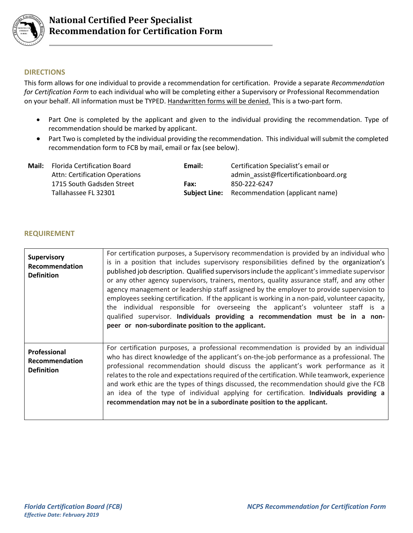

## **DIRECTIONS**

This form allows for one individual to provide a recommendation for certification. Provide a separate *Recommendation for Certification Form* to each individual who will be completing either a Supervisory or Professional Recommendation on your behalf. All information must be TYPED. Handwritten forms will be denied. This is a two-part form.

- Part One is completed by the applicant and given to the individual providing the recommendation. Type of recommendation should be marked by applicant.
- Part Two is completed by the individual providing the recommendation. This individual will submit the completed recommendation form to FCB by mail, email or fax (see below).

| <b>Florida Certification Board</b><br><b>Attn: Certification Operations</b> | Email: | Certification Specialist's email or<br>admin assist@flcertificationboard.org |
|-----------------------------------------------------------------------------|--------|------------------------------------------------------------------------------|
| 1715 South Gadsden Street                                                   | Fax:   | 850-222-6247                                                                 |
| Tallahassee FL 32301                                                        |        | <b>Subject Line:</b> Recommendation (applicant name)                         |
|                                                                             |        |                                                                              |

## **REQUIREMENT**

| <b>Supervisory</b><br>Recommendation<br><b>Definition</b> | For certification purposes, a Supervisory recommendation is provided by an individual who<br>is in a position that includes supervisory responsibilities defined by the organization's<br>published job description. Qualified supervisors include the applicant's immediate supervisor<br>or any other agency supervisors, trainers, mentors, quality assurance staff, and any other<br>agency management or leadership staff assigned by the employer to provide supervision to<br>employees seeking certification. If the applicant is working in a non-paid, volunteer capacity,<br>the individual responsible for overseeing the applicant's volunteer staff is a<br>qualified supervisor. Individuals providing a recommendation must be in a non-<br>peer or non-subordinate position to the applicant. |
|-----------------------------------------------------------|----------------------------------------------------------------------------------------------------------------------------------------------------------------------------------------------------------------------------------------------------------------------------------------------------------------------------------------------------------------------------------------------------------------------------------------------------------------------------------------------------------------------------------------------------------------------------------------------------------------------------------------------------------------------------------------------------------------------------------------------------------------------------------------------------------------|
| Professional<br>Recommendation<br><b>Definition</b>       | For certification purposes, a professional recommendation is provided by an individual<br>who has direct knowledge of the applicant's on-the-job performance as a professional. The<br>professional recommendation should discuss the applicant's work performance as it<br>relates to the role and expectations required of the certification. While teamwork, experience<br>and work ethic are the types of things discussed, the recommendation should give the FCB<br>an idea of the type of individual applying for certification. Individuals providing a<br>recommendation may not be in a subordinate position to the applicant.                                                                                                                                                                       |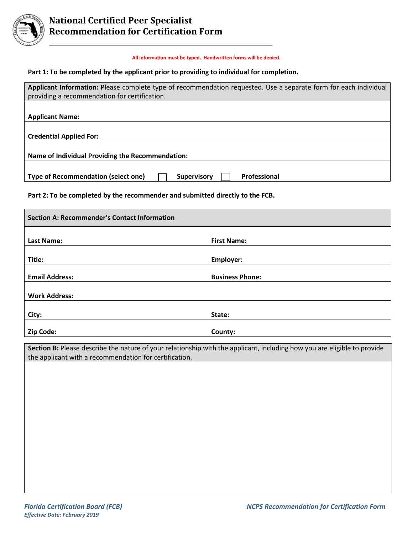

# **National Certified Peer Specialist Recommendation for Certification Form**

#### **All information must be typed. Handwritten forms will be denied.**

### **Part 1: To be completed by the applicant prior to providing to individual for completion.**

| Applicant Information: Please complete type of recommendation requested. Use a separate form for each individual<br>providing a recommendation for certification. |
|-------------------------------------------------------------------------------------------------------------------------------------------------------------------|
|                                                                                                                                                                   |
| <b>Applicant Name:</b>                                                                                                                                            |
|                                                                                                                                                                   |
| <b>Credential Applied For:</b>                                                                                                                                    |
|                                                                                                                                                                   |
| Name of Individual Providing the Recommendation:                                                                                                                  |
|                                                                                                                                                                   |
| <b>Type of Recommendation (select one)</b><br>Professional<br><b>Supervisory</b>                                                                                  |

#### **Part 2: To be completed by the recommender and submitted directly to the FCB.**

| <b>Section A: Recommender's Contact Information</b> |                        |
|-----------------------------------------------------|------------------------|
|                                                     |                        |
| <b>Last Name:</b>                                   | <b>First Name:</b>     |
|                                                     |                        |
| Title:                                              | Employer:              |
|                                                     |                        |
| <b>Email Address:</b>                               | <b>Business Phone:</b> |
|                                                     |                        |
| <b>Work Address:</b>                                |                        |
|                                                     |                        |
| City:                                               | State:                 |
|                                                     |                        |
| Zip Code:                                           | County:                |

**Section B:** Please describe the nature of your relationship with the applicant, including how you are eligible to provide the applicant with a recommendation for certification.